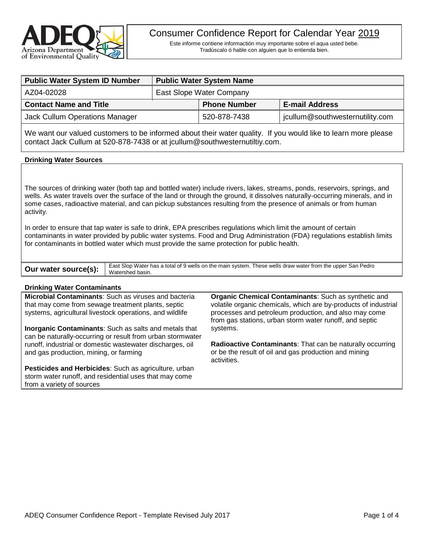

Este informe contiene informactión muy importante sobre el aqua usted bebe. Tradúscalo ó hable con alguien que lo entienda bien.

| <b>Public Water System ID Number</b> | <b>Public Water System Name</b> |                     |                                 |  |
|--------------------------------------|---------------------------------|---------------------|---------------------------------|--|
| AZ04-02028                           | East Slope Water Company        |                     |                                 |  |
| <b>Contact Name and Title</b>        |                                 | <b>Phone Number</b> | <b>E-mail Address</b>           |  |
| Jack Cullum Operations Manager       |                                 | 520-878-7438        | jcullum@southwesternutility.com |  |

We want our valued customers to be informed about their water quality. If you would like to learn more please contact Jack Cullum at 520-878-7438 or at jcullum@southwesternutiltiy.com.

## **Drinking Water Sources**

The sources of drinking water (both tap and bottled water) include rivers, lakes, streams, ponds, reservoirs, springs, and wells. As water travels over the surface of the land or through the ground, it dissolves naturally-occurring minerals, and in some cases, radioactive material, and can pickup substances resulting from the presence of animals or from human activity.

In order to ensure that tap water is safe to drink, EPA prescribes regulations which limit the amount of certain contaminants in water provided by public water systems. Food and Drug Administration (FDA) regulations establish limits for contaminants in bottled water which must provide the same protection for public health.

|                                                                                                                                | East Slop Water has a total of 9 wells on the main system. These wells draw water from the upper San Pedro |
|--------------------------------------------------------------------------------------------------------------------------------|------------------------------------------------------------------------------------------------------------|
| <b>Our water source(s):</b> $\left  \begin{array}{c} \text{East Slop water n} \\ \text{Water shed basin.} \end{array} \right $ |                                                                                                            |

#### **Drinking Water Contaminants**

**Microbial Contaminants**: Such as viruses and bacteria that may come from sewage treatment plants, septic systems, agricultural livestock operations, and wildlife

**Inorganic Contaminants**: Such as salts and metals that can be naturally-occurring or result from urban stormwater runoff, industrial or domestic wastewater discharges, oil and gas production, mining, or farming

**Pesticides and Herbicides**: Such as agriculture, urban storm water runoff, and residential uses that may come from a variety of sources

**Organic Chemical Contaminants**: Such as synthetic and volatile organic chemicals, which are by-products of industrial processes and petroleum production, and also may come from gas stations, urban storm water runoff, and septic systems.

**Radioactive Contaminants**: That can be naturally occurring or be the result of oil and gas production and mining activities.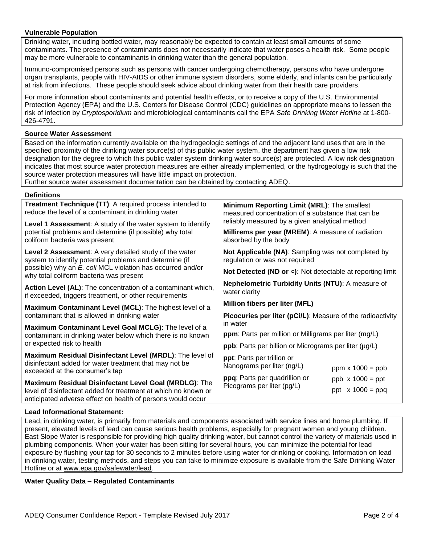# **Vulnerable Population**

Drinking water, including bottled water, may reasonably be expected to contain at least small amounts of some contaminants. The presence of contaminants does not necessarily indicate that water poses a health risk. Some people may be more vulnerable to contaminants in drinking water than the general population.

Immuno-compromised persons such as persons with cancer undergoing chemotherapy, persons who have undergone organ transplants, people with HIV-AIDS or other immune system disorders, some elderly, and infants can be particularly at risk from infections. These people should seek advice about drinking water from their health care providers.

For more information about contaminants and potential health effects, or to receive a copy of the U.S. Environmental Protection Agency (EPA) and the U.S. Centers for Disease Control (CDC) guidelines on appropriate means to lessen the risk of infection by *Cryptosporidium* and microbiological contaminants call the EPA *Safe Drinking Water Hotline* at 1-800- 426-4791.

# **Source Water Assessment**

Based on the information currently available on the hydrogeologic settings of and the adjacent land uses that are in the specified proximity of the drinking water source(s) of this public water system, the department has given a low risk designation for the degree to which this public water system drinking water source(s) are protected. A low risk designation indicates that most source water protection measures are either already implemented, or the hydrogeology is such that the source water protection measures will have little impact on protection.

Further source water assessment documentation can be obtained by contacting ADEQ.

## **Definitions**

**Treatment Technique (TT)**: A required process intended to reduce the level of a contaminant in drinking water

**Level 1 Assessment**: A study of the water system to identify potential problems and determine (if possible) why total coliform bacteria was present

**Level 2 Assessment**: A very detailed study of the water system to identify potential problems and determine (if possible) why an *E. coli* MCL violation has occurred and/or why total coliform bacteria was present

**Action Level (AL)**: The concentration of a contaminant which, if exceeded, triggers treatment, or other requirements

**Maximum Contaminant Level (MCL)**: The highest level of a contaminant that is allowed in drinking water

**Maximum Contaminant Level Goal MCLG)**: The level of a contaminant in drinking water below which there is no known or expected risk to health

**Maximum Residual Disinfectant Level (MRDL)**: The level of disinfectant added for water treatment that may not be exceeded at the consumer's tap

**Maximum Residual Disinfectant Level Goal (MRDLG)**: The level of disinfectant added for treatment at which no known or anticipated adverse effect on health of persons would occur

**Minimum Reporting Limit (MRL)**: The smallest measured concentration of a substance that can be reliably measured by a given analytical method

**Millirems per year (MREM)**: A measure of radiation absorbed by the body

**Not Applicable (NA)**: Sampling was not completed by regulation or was not required

**Not Detected (ND or <):** Not detectable at reporting limit

**Nephelometric Turbidity Units (NTU)**: A measure of water clarity

**Million fibers per liter (MFL)**

**Picocuries per liter (pCi/L)**: Measure of the radioactivity in water

**ppm**: Parts per million or Milligrams per liter (mg/L)

**ppb**: Parts per billion or Micrograms per liter ( $\mu$ g/L)

| ppt: Parts per trillion or<br>Nanograms per liter (ng/L) | ppm $x 1000 =$ ppb      |  |  |
|----------------------------------------------------------|-------------------------|--|--|
| ppq: Parts per quadrillion or                            | $ppb \times 1000 = ppt$ |  |  |
| Picograms per liter (pg/L)                               | ppt $\times$ 1000 = ppq |  |  |

## **Lead Informational Statement:**

Lead, in drinking water, is primarily from materials and components associated with service lines and home plumbing. If present, elevated levels of lead can cause serious health problems, especially for pregnant women and young children. East Slope Water is responsible for providing high quality drinking water, but cannot control the variety of materials used in plumbing components. When your water has been sitting for several hours, you can minimize the potential for lead exposure by flushing your tap for 30 seconds to 2 minutes before using water for drinking or cooking. Information on lead in drinking water, testing methods, and steps you can take to minimize exposure is available from the Safe Drinking Water Hotline or at [www.epa.gov/safewater/lead.](http://www.epa.gov/safewater/lead)

**Water Quality Data – Regulated Contaminants**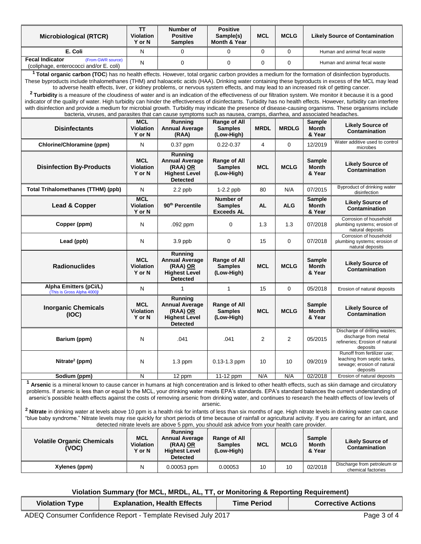| <b>Microbiological (RTCR)</b>                                                                                                                                                                                                                                                                                                                                                                                                                                                                                                                                                                                                                                                                                                                                                                                                                              | <b>TT</b><br><b>Violation</b><br>Y or N  | Number of<br><b>Positive</b><br><b>Samples</b>                                          | <b>Positive</b><br>Sample(s)<br><b>Month &amp; Year</b> | <b>MCL</b>  | <b>MCLG</b>    | <b>Likely Source of Contamination</b>   |                                                                                                      |
|------------------------------------------------------------------------------------------------------------------------------------------------------------------------------------------------------------------------------------------------------------------------------------------------------------------------------------------------------------------------------------------------------------------------------------------------------------------------------------------------------------------------------------------------------------------------------------------------------------------------------------------------------------------------------------------------------------------------------------------------------------------------------------------------------------------------------------------------------------|------------------------------------------|-----------------------------------------------------------------------------------------|---------------------------------------------------------|-------------|----------------|-----------------------------------------|------------------------------------------------------------------------------------------------------|
| E. Coli                                                                                                                                                                                                                                                                                                                                                                                                                                                                                                                                                                                                                                                                                                                                                                                                                                                    | N                                        | $\Omega$                                                                                | 0                                                       | $\mathbf 0$ | $\mathbf 0$    | Human and animal fecal waste            |                                                                                                      |
| <b>Fecal Indicator</b><br>(From GWR source)<br>(coliphage, enterococci and/or E. coli)                                                                                                                                                                                                                                                                                                                                                                                                                                                                                                                                                                                                                                                                                                                                                                     | N                                        | 0                                                                                       | $\Omega$                                                | 0           | $\Omega$       | Human and animal fecal waste            |                                                                                                      |
| <sup>1</sup> Total organic carbon (TOC) has no health effects. However, total organic carbon provides a medium for the formation of disinfection byproducts.<br>These byproducts include trihalomethanes (THM) and haloacetic acids (HAA). Drinking water containing these byproducts in excess of the MCL may lead<br>to adverse health effects, liver, or kidney problems, or nervous system effects, and may lead to an increased risk of getting cancer.<br><sup>2</sup> Turbidity is a measure of the cloudiness of water and is an indication of the effectiveness of our filtration system. We monitor it because it is a good<br>indicator of the quality of water. High turbidity can hinder the effectiveness of disinfectants. Turbidity has no health effects. However, turbidity can interfere                                                |                                          |                                                                                         |                                                         |             |                |                                         |                                                                                                      |
| with disinfection and provide a medium for microbial growth. Turbidity may indicate the presence of disease-causing organisms. These organisms include<br>bacteria, viruses, and parasites that can cause symptoms such as nausea, cramps, diarrhea, and associated headaches.                                                                                                                                                                                                                                                                                                                                                                                                                                                                                                                                                                             |                                          |                                                                                         |                                                         |             |                |                                         |                                                                                                      |
| <b>Disinfectants</b>                                                                                                                                                                                                                                                                                                                                                                                                                                                                                                                                                                                                                                                                                                                                                                                                                                       | MCL<br><b>Violation</b><br>Y or N        | Running<br><b>Annual Average</b><br>(RAA)                                               | Range of All<br><b>Samples</b><br>(Low-High)            | <b>MRDL</b> | <b>MRDLG</b>   | <b>Sample</b><br>Month<br>& Year        | <b>Likely Source of</b><br>Contamination                                                             |
| Chlorine/Chloramine (ppm)                                                                                                                                                                                                                                                                                                                                                                                                                                                                                                                                                                                                                                                                                                                                                                                                                                  | N                                        | 0.37 ppm                                                                                | $0.22 - 0.37$                                           | 4           | $\mathbf 0$    | 12/2019                                 | Water additive used to control<br>microbes                                                           |
| <b>Disinfection By-Products</b>                                                                                                                                                                                                                                                                                                                                                                                                                                                                                                                                                                                                                                                                                                                                                                                                                            | <b>MCL</b><br><b>Violation</b><br>Y or N | Running<br><b>Annual Average</b><br>(RAA) OR<br><b>Highest Level</b><br><b>Detected</b> | Range of All<br><b>Samples</b><br>(Low-High)            | <b>MCL</b>  | <b>MCLG</b>    | Sample<br><b>Month</b><br>& Year        | <b>Likely Source of</b><br><b>Contamination</b>                                                      |
| <b>Total Trihalomethanes (TTHM) (ppb)</b>                                                                                                                                                                                                                                                                                                                                                                                                                                                                                                                                                                                                                                                                                                                                                                                                                  | N                                        | 2.2 ppb                                                                                 | 1-2.2 ppb                                               | 80          | N/A            | 07/2015                                 | Byproduct of drinking water<br>disinfection                                                          |
| Lead & Copper                                                                                                                                                                                                                                                                                                                                                                                                                                                                                                                                                                                                                                                                                                                                                                                                                                              | <b>MCL</b><br><b>Violation</b><br>Y or N | 90 <sup>th</sup> Percentile                                                             | Number of<br><b>Samples</b><br><b>Exceeds AL</b>        | <b>AL</b>   | <b>ALG</b>     | <b>Sample</b><br><b>Month</b><br>& Year | <b>Likely Source of</b><br><b>Contamination</b>                                                      |
| Copper (ppm)                                                                                                                                                                                                                                                                                                                                                                                                                                                                                                                                                                                                                                                                                                                                                                                                                                               | N                                        | .092 ppm                                                                                | 0                                                       | 1.3         | 1.3            | 07/2018                                 | Corrosion of household<br>plumbing systems; erosion of<br>natural deposits                           |
| Lead (ppb)                                                                                                                                                                                                                                                                                                                                                                                                                                                                                                                                                                                                                                                                                                                                                                                                                                                 | N                                        | $3.9$ ppb                                                                               | 0                                                       | 15          | $\mathbf 0$    | 07/2018                                 | Corrosion of household<br>plumbing systems; erosion of<br>natural deposits                           |
| <b>Radionuclides</b>                                                                                                                                                                                                                                                                                                                                                                                                                                                                                                                                                                                                                                                                                                                                                                                                                                       | <b>MCL</b><br><b>Violation</b><br>Y or N | Running<br><b>Annual Average</b><br>(RAA) OR<br><b>Highest Level</b><br><b>Detected</b> | Range of All<br><b>Samples</b><br>(Low-High)            | <b>MCL</b>  | <b>MCLG</b>    | <b>Sample</b><br>Month<br>& Year        | <b>Likely Source of</b><br>Contamination                                                             |
| Alpha Emitters (pCi/L)<br>(This is Gross Alpha 4000)                                                                                                                                                                                                                                                                                                                                                                                                                                                                                                                                                                                                                                                                                                                                                                                                       | N                                        | 1                                                                                       | $\mathbf{1}$                                            | 15          | $\mathbf 0$    | 05/2018                                 | Erosion of natural deposits                                                                          |
| <b>Inorganic Chemicals</b><br>(IOC)                                                                                                                                                                                                                                                                                                                                                                                                                                                                                                                                                                                                                                                                                                                                                                                                                        | <b>MCL</b><br><b>Violation</b><br>Y or N | Running<br><b>Annual Average</b><br>(RAA) OR<br><b>Highest Level</b><br><b>Detected</b> | <b>Range of All</b><br><b>Samples</b><br>(Low-High)     | <b>MCL</b>  | <b>MCLG</b>    | <b>Sample</b><br><b>Month</b><br>& Year | <b>Likely Source of</b><br>Contamination                                                             |
| Barium (ppm)                                                                                                                                                                                                                                                                                                                                                                                                                                                                                                                                                                                                                                                                                                                                                                                                                                               | N                                        | .041                                                                                    | .041                                                    | 2           | $\overline{2}$ | 05/2015                                 | Discharge of drilling wastes;<br>discharge from metal<br>refineries; Erosion of natural<br>deposits  |
| Nitrate <sup>2</sup> (ppm)                                                                                                                                                                                                                                                                                                                                                                                                                                                                                                                                                                                                                                                                                                                                                                                                                                 | N                                        | $1.3$ ppm                                                                               | $0.13 - 1.3$ ppm                                        | 10          | 10             | 09/2019                                 | Runoff from fertilizer use;<br>leaching from septic tanks,<br>sewage; erosion of natural<br>deposits |
| Sodium (ppm)                                                                                                                                                                                                                                                                                                                                                                                                                                                                                                                                                                                                                                                                                                                                                                                                                                               | N                                        | $\overline{12}$ ppm                                                                     | 11-12 ppm                                               | N/A         | N/A            | 02/2018                                 | Erosion of natural deposits                                                                          |
| <sup>1</sup> Arsenic is a mineral known to cause cancer in humans at high concentration and is linked to other health effects, such as skin damage and circulatory<br>problems. If arsenic is less than or equal to the MCL, your drinking water meets EPA's standards. EPA's standard balances the current understanding of<br>arsenic's possible health effects against the costs of removing arsenic from drinking water, and continues to research the health effects of low levels of<br>arsenic.<br><sup>2</sup> Nitrate in drinking water at levels above 10 ppm is a health risk for infants of less than six months of age. High nitrate levels in drinking water can cause<br>"blue baby syndrome." Nitrate levels may rise quickly for short periods of time because of rainfall or agricultural activity. If you are caring for an infant, and |                                          |                                                                                         |                                                         |             |                |                                         |                                                                                                      |
| detected nitrate levels are above 5 ppm, you should ask advice from your health care provider.                                                                                                                                                                                                                                                                                                                                                                                                                                                                                                                                                                                                                                                                                                                                                             |                                          |                                                                                         |                                                         |             |                |                                         |                                                                                                      |
| <b>Volatile Organic Chemicals</b><br>(VOC)                                                                                                                                                                                                                                                                                                                                                                                                                                                                                                                                                                                                                                                                                                                                                                                                                 | MCL<br>Violation<br>Y or N               | Running<br><b>Annual Average</b><br>(RAA) OR<br><b>Highest Level</b><br><b>Detected</b> | Range of All<br><b>Samples</b><br>(Low-High)            | <b>MCL</b>  | <b>MCLG</b>    | Sample<br>Month<br>& Year               | <b>Likely Source of</b><br>Contamination                                                             |
| Xylenes (ppm)                                                                                                                                                                                                                                                                                                                                                                                                                                                                                                                                                                                                                                                                                                                                                                                                                                              | N                                        | $0.00053$ ppm                                                                           | 0.00053                                                 | 10          | 10             | 02/2018                                 | Discharge from petroleum or<br>chemical factories                                                    |

# **Violation Summary (for MCL, MRDL, AL, TT, or Monitoring & Reporting Requirement)**

| <b>Violation Type</b> | <b>Explanation, Health Effects</b> | <b>Time Period</b> | <b>Corrective Actions</b> |
|-----------------------|------------------------------------|--------------------|---------------------------|
|                       |                                    |                    |                           |